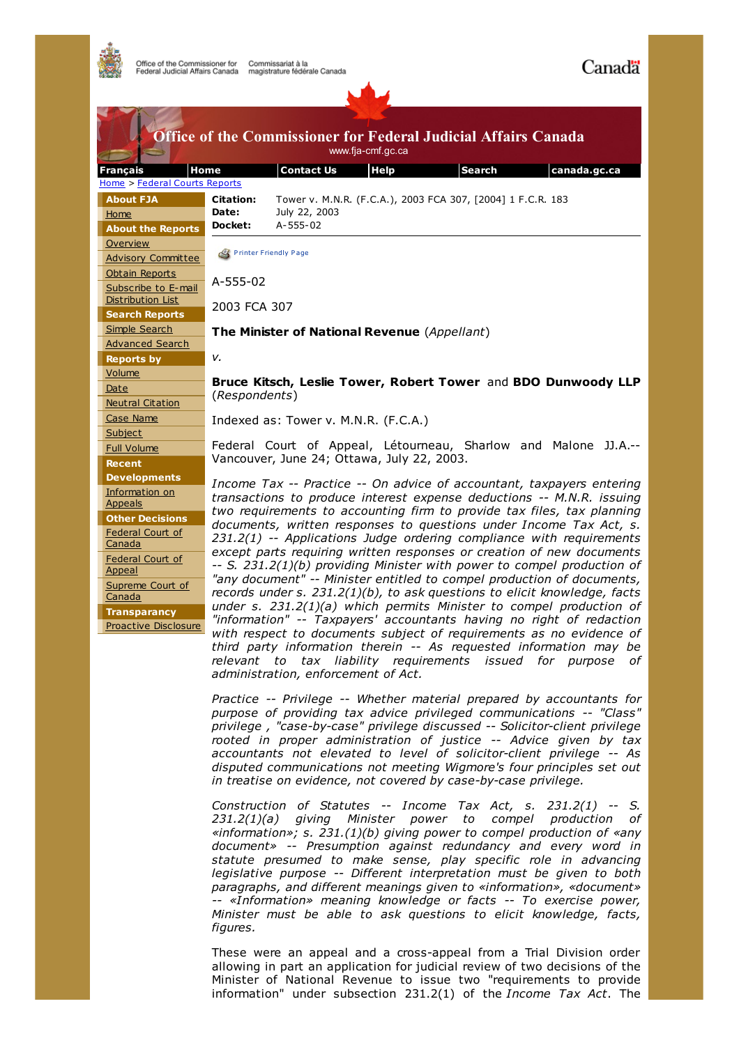

| <b>Office of the Commissioner for Federal Judicial Affairs Canada</b><br>www.fja-cmf.gc.ca |                                                                                                                                                                                                                                                                                                                                                                                                                                                                                                                                                                                                                                                                                                                       |                              |      |                                                             |                                                                                                                                                                                                                   |
|--------------------------------------------------------------------------------------------|-----------------------------------------------------------------------------------------------------------------------------------------------------------------------------------------------------------------------------------------------------------------------------------------------------------------------------------------------------------------------------------------------------------------------------------------------------------------------------------------------------------------------------------------------------------------------------------------------------------------------------------------------------------------------------------------------------------------------|------------------------------|------|-------------------------------------------------------------|-------------------------------------------------------------------------------------------------------------------------------------------------------------------------------------------------------------------|
| Home<br><b>Français</b>                                                                    |                                                                                                                                                                                                                                                                                                                                                                                                                                                                                                                                                                                                                                                                                                                       | <b>Contact Us</b>            | Help | <b>Search</b>                                               | canada.gc.ca                                                                                                                                                                                                      |
| Home > Federal Courts Reports                                                              |                                                                                                                                                                                                                                                                                                                                                                                                                                                                                                                                                                                                                                                                                                                       |                              |      |                                                             |                                                                                                                                                                                                                   |
| <b>About FJA</b><br>Home<br><b>About the Reports</b>                                       | <b>Citation:</b><br>Date:<br>Docket:                                                                                                                                                                                                                                                                                                                                                                                                                                                                                                                                                                                                                                                                                  | July 22, 2003<br>A-555-02    |      | Tower v. M.N.R. (F.C.A.), 2003 FCA 307, [2004] 1 F.C.R. 183 |                                                                                                                                                                                                                   |
| Overview<br><b>Advisory Committee</b>                                                      |                                                                                                                                                                                                                                                                                                                                                                                                                                                                                                                                                                                                                                                                                                                       | <b>Printer Friendly Page</b> |      |                                                             |                                                                                                                                                                                                                   |
| <b>Obtain Reports</b><br>Subscribe to E-mail                                               | A-555-02<br>2003 FCA 307                                                                                                                                                                                                                                                                                                                                                                                                                                                                                                                                                                                                                                                                                              |                              |      |                                                             |                                                                                                                                                                                                                   |
| <b>Distribution List</b><br><b>Search Reports</b>                                          |                                                                                                                                                                                                                                                                                                                                                                                                                                                                                                                                                                                                                                                                                                                       |                              |      |                                                             |                                                                                                                                                                                                                   |
| Simple Search<br><b>Advanced Search</b>                                                    | The Minister of National Revenue (Appellant)                                                                                                                                                                                                                                                                                                                                                                                                                                                                                                                                                                                                                                                                          |                              |      |                                                             |                                                                                                                                                                                                                   |
| <b>Reports by</b>                                                                          | ν.                                                                                                                                                                                                                                                                                                                                                                                                                                                                                                                                                                                                                                                                                                                    |                              |      |                                                             |                                                                                                                                                                                                                   |
| Volume                                                                                     | Bruce Kitsch, Leslie Tower, Robert Tower and BDO Dunwoody LLP<br>(Respondents)                                                                                                                                                                                                                                                                                                                                                                                                                                                                                                                                                                                                                                        |                              |      |                                                             |                                                                                                                                                                                                                   |
| Date                                                                                       |                                                                                                                                                                                                                                                                                                                                                                                                                                                                                                                                                                                                                                                                                                                       |                              |      |                                                             |                                                                                                                                                                                                                   |
| <b>Neutral Citation</b>                                                                    |                                                                                                                                                                                                                                                                                                                                                                                                                                                                                                                                                                                                                                                                                                                       |                              |      |                                                             |                                                                                                                                                                                                                   |
| Case Name                                                                                  | Indexed as: Tower v. M.N.R. (F.C.A.)                                                                                                                                                                                                                                                                                                                                                                                                                                                                                                                                                                                                                                                                                  |                              |      |                                                             |                                                                                                                                                                                                                   |
| Subject                                                                                    | Federal Court of Appeal, Létourneau, Sharlow and Malone JJ.A.--<br>Vancouver, June 24; Ottawa, July 22, 2003.<br>Income Tax -- Practice -- On advice of accountant, taxpayers entering<br>transactions to produce interest expense deductions -- M.N.R. issuing<br>two requirements to accounting firm to provide tax files, tax planning<br>documents, written responses to questions under Income Tax Act, s.<br>231.2(1) -- Applications Judge ordering compliance with requirements<br>except parts requiring written responses or creation of new documents<br>-- S. 231.2(1)(b) providing Minister with power to compel production of<br>"any document" -- Minister entitled to compel production of documents, |                              |      |                                                             |                                                                                                                                                                                                                   |
| <b>Full Volume</b>                                                                         |                                                                                                                                                                                                                                                                                                                                                                                                                                                                                                                                                                                                                                                                                                                       |                              |      |                                                             |                                                                                                                                                                                                                   |
| <b>Recent</b>                                                                              |                                                                                                                                                                                                                                                                                                                                                                                                                                                                                                                                                                                                                                                                                                                       |                              |      |                                                             |                                                                                                                                                                                                                   |
| <b>Developments</b><br>Information on<br><b>Appeals</b>                                    |                                                                                                                                                                                                                                                                                                                                                                                                                                                                                                                                                                                                                                                                                                                       |                              |      |                                                             |                                                                                                                                                                                                                   |
| <b>Other Decisions</b>                                                                     |                                                                                                                                                                                                                                                                                                                                                                                                                                                                                                                                                                                                                                                                                                                       |                              |      |                                                             |                                                                                                                                                                                                                   |
| Federal Court of<br>Canada                                                                 |                                                                                                                                                                                                                                                                                                                                                                                                                                                                                                                                                                                                                                                                                                                       |                              |      |                                                             |                                                                                                                                                                                                                   |
| Federal Court of<br><b>Appeal</b>                                                          |                                                                                                                                                                                                                                                                                                                                                                                                                                                                                                                                                                                                                                                                                                                       |                              |      |                                                             |                                                                                                                                                                                                                   |
| Supreme Court of<br>Canada                                                                 |                                                                                                                                                                                                                                                                                                                                                                                                                                                                                                                                                                                                                                                                                                                       |                              |      |                                                             | records under s. 231.2(1)(b), to ask questions to elicit knowledge, facts<br>under s. $231.2(1)(a)$ which permits Minister to compel production of                                                                |
| <b>Transparancy</b><br>Proactive Disclosure                                                |                                                                                                                                                                                                                                                                                                                                                                                                                                                                                                                                                                                                                                                                                                                       |                              |      |                                                             | "information" -- Taxpayers' accountants having no right of redaction<br>with respect to documents subject of requirements as no evidence of<br>third party information therein -- As requested information may be |

*administration, enforcement of Act.*

*Practice -- Privilege -- Whether material prepared by accountants for purpose of providing tax advice privileged communications -- "Class" privilege , "case-by-case" privilege discussed -- Solicitor-client privilege rooted in proper administration of justice -- Advice given by tax accountants not elevated to level of solicitor-client privilege -- As disputed communications not meeting Wigmore's four principles set out in treatise on evidence, not covered by case-by-case privilege.*

*relevant to tax liability requirements issued for purpose of*

*Construction of Statutes -- Income Tax Act, s. 231.2(1) -- S. 231.2(1)(a) giving Minister power to compel production of «information»; s. 231.(1)(b) giving power to compel production of «any document» -- Presumption against redundancy and every word in statute presumed to make sense, play specific role in advancing legislative purpose -- Different interpretation must be given to both paragraphs, and different meanings given to «information», «document» -- «Information» meaning knowledge or facts -- To exercise power, Minister must be able to ask questions to elicit knowledge, facts, figures.*

These were an appeal and a cross-appeal from a Trial Division order allowing in part an application for judicial review of two decisions of the Minister of National Revenue to issue two "requirements to provide information" under subsection 231.2(1) of the *Income Tax Act*. The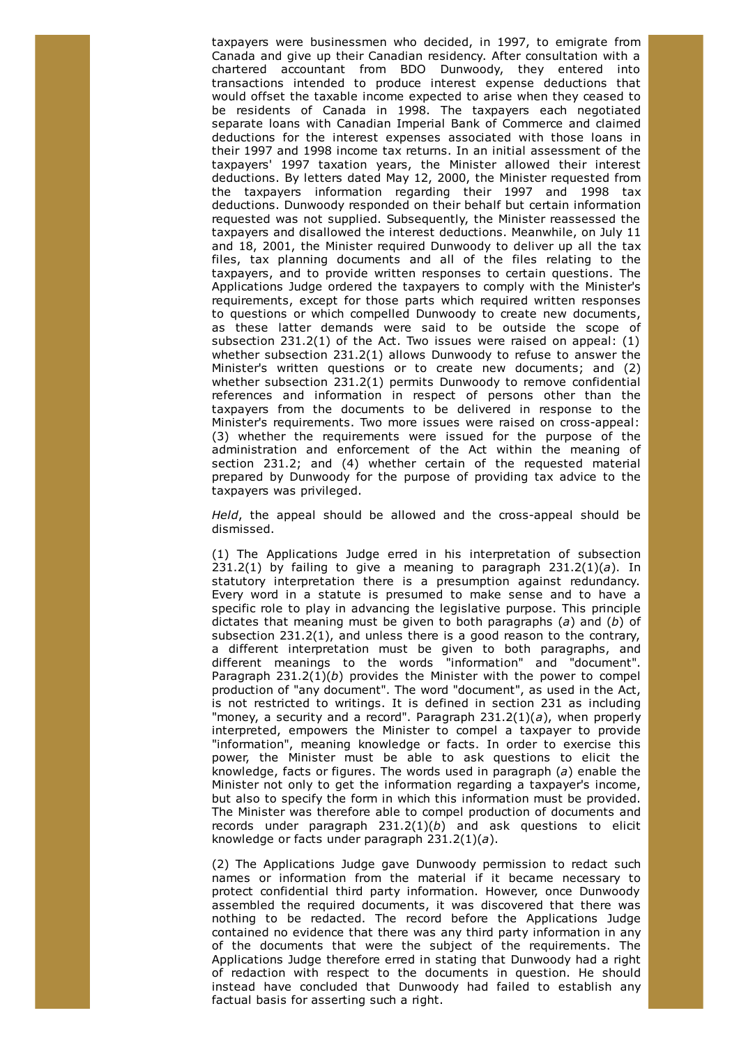taxpayers were businessmen who decided, in 1997, to emigrate from Canada and give up their Canadian residency. After consultation with a chartered accountant from BDO Dunwoody, they entered into transactions intended to produce interest expense deductions that would offset the taxable income expected to arise when they ceased to be residents of Canada in 1998. The taxpayers each negotiated separate loans with Canadian Imperial Bank of Commerce and claimed deductions for the interest expenses associated with those loans in their 1997 and 1998 income tax returns. In an initial assessment of the taxpayers' 1997 taxation years, the Minister allowed their interest deductions. By letters dated May 12, 2000, the Minister requested from the taxpayers information regarding their 1997 and 1998 tax deductions. Dunwoody responded on their behalf but certain information requested was not supplied. Subsequently, the Minister reassessed the taxpayers and disallowed the interest deductions. Meanwhile, on July 11 and 18, 2001, the Minister required Dunwoody to deliver up all the tax files, tax planning documents and all of the files relating to the taxpayers, and to provide written responses to certain questions. The Applications Judge ordered the taxpayers to comply with the Minister's requirements, except for those parts which required written responses to questions or which compelled Dunwoody to create new documents, as these latter demands were said to be outside the scope of subsection 231.2(1) of the Act. Two issues were raised on appeal: (1) whether subsection 231.2(1) allows Dunwoody to refuse to answer the Minister's written questions or to create new documents; and (2) whether subsection 231.2(1) permits Dunwoody to remove confidential references and information in respect of persons other than the taxpayers from the documents to be delivered in response to the Minister's requirements. Two more issues were raised on cross-appeal: (3) whether the requirements were issued for the purpose of the administration and enforcement of the Act within the meaning of section 231.2; and (4) whether certain of the requested material prepared by Dunwoody for the purpose of providing tax advice to the taxpayers was privileged.

*Held*, the appeal should be allowed and the cross-appeal should be dismissed.

(1) The Applications Judge erred in his interpretation of subsection 231.2(1) by failing to give a meaning to paragraph  $231.2(1)(a)$ . In statutory interpretation there is a presumption against redundancy. Every word in a statute is presumed to make sense and to have a specific role to play in advancing the legislative purpose. This principle dictates that meaning must be given to both paragraphs (*a*) and (*b*) of subsection 231.2(1), and unless there is a good reason to the contrary, a different interpretation must be given to both paragraphs, and different meanings to the words "information" and "document". Paragraph 231.2(1)(*b*) provides the Minister with the power to compel production of "any document". The word "document", as used in the Act, is not restricted to writings. It is defined in section 231 as including "money, a security and a record". Paragraph 231.2(1)(*a*), when properly interpreted, empowers the Minister to compel a taxpayer to provide "information", meaning knowledge or facts. In order to exercise this power, the Minister must be able to ask questions to elicit the knowledge, facts or figures. The words used in paragraph (*a*) enable the Minister not only to get the information regarding a taxpayer's income, but also to specify the form in which this information must be provided. The Minister was therefore able to compel production of documents and records under paragraph 231.2(1)(*b*) and ask questions to elicit knowledge or facts under paragraph 231.2(1)(*a*).

(2) The Applications Judge gave Dunwoody permission to redact such names or information from the material if it became necessary to protect confidential third party information. However, once Dunwoody assembled the required documents, it was discovered that there was nothing to be redacted. The record before the Applications Judge contained no evidence that there was any third party information in any of the documents that were the subject of the requirements. The Applications Judge therefore erred in stating that Dunwoody had a right of redaction with respect to the documents in question. He should instead have concluded that Dunwoody had failed to establish any factual basis for asserting such a right.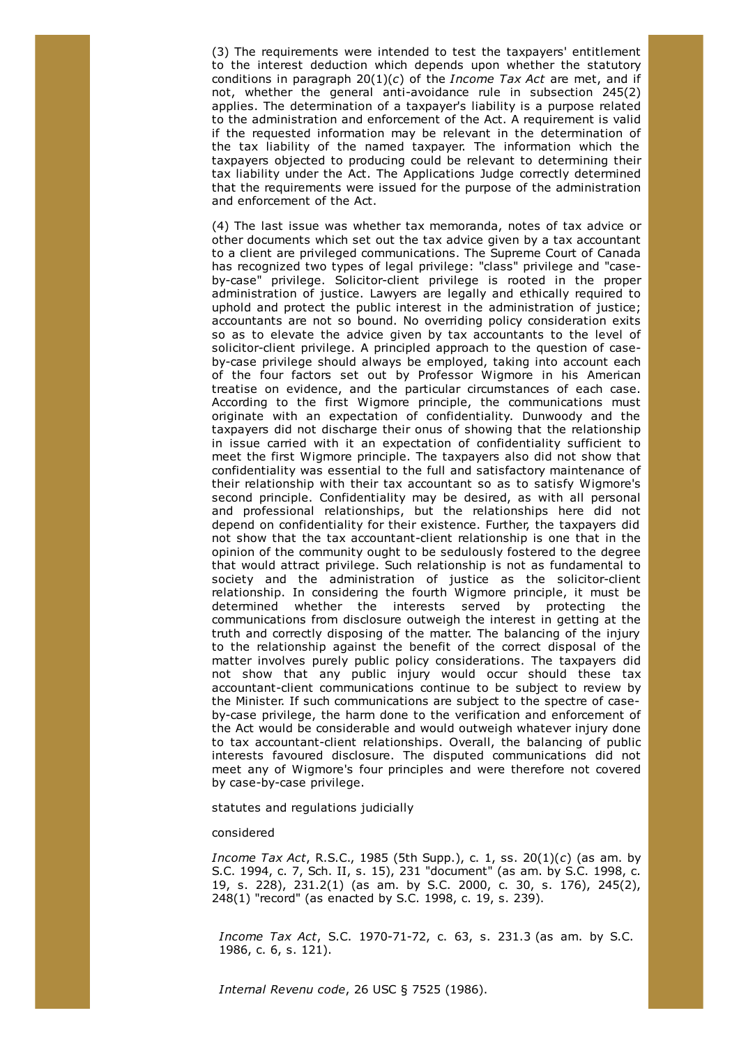(3) The requirements were intended to test the taxpayers' entitlement to the interest deduction which depends upon whether the statutory conditions in paragraph 20(1)(*c*) of the *Income Tax Act* are met, and if not, whether the general anti-avoidance rule in subsection 245(2) applies. The determination of a taxpayer's liability is a purpose related to the administration and enforcement of the Act. A requirement is valid if the requested information may be relevant in the determination of the tax liability of the named taxpayer. The information which the taxpayers objected to producing could be relevant to determining their tax liability under the Act. The Applications Judge correctly determined that the requirements were issued for the purpose of the administration and enforcement of the Act.

(4) The last issue was whether tax memoranda, notes of tax advice or other documents which set out the tax advice given by a tax accountant to a client are privileged communications. The Supreme Court of Canada has recognized two types of legal privilege: "class" privilege and "caseby-case" privilege. Solicitor-client privilege is rooted in the proper administration of justice. Lawyers are legally and ethically required to uphold and protect the public interest in the administration of justice; accountants are not so bound. No overriding policy consideration exits so as to elevate the advice given by tax accountants to the level of solicitor-client privilege. A principled approach to the question of caseby-case privilege should always be employed, taking into account each of the four factors set out by Professor Wigmore in his American treatise on evidence, and the particular circumstances of each case. According to the first Wigmore principle, the communications must originate with an expectation of confidentiality. Dunwoody and the taxpayers did not discharge their onus of showing that the relationship in issue carried with it an expectation of confidentiality sufficient to meet the first Wigmore principle. The taxpayers also did not show that confidentiality was essential to the full and satisfactory maintenance of their relationship with their tax accountant so as to satisfy Wigmore's second principle. Confidentiality may be desired, as with all personal and professional relationships, but the relationships here did not depend on confidentiality for their existence. Further, the taxpayers did not show that the tax accountant-client relationship is one that in the opinion of the community ought to be sedulously fostered to the degree that would attract privilege. Such relationship is not as fundamental to society and the administration of justice as the solicitor-client relationship. In considering the fourth Wigmore principle, it must be determined whether the interests served by protecting the communications from disclosure outweigh the interest in getting at the truth and correctly disposing of the matter. The balancing of the injury to the relationship against the benefit of the correct disposal of the matter involves purely public policy considerations. The taxpayers did not show that any public injury would occur should these tax accountant-client communications continue to be subject to review by the Minister. If such communications are subject to the spectre of caseby-case privilege, the harm done to the verification and enforcement of the Act would be considerable and would outweigh whatever injury done to tax accountant-client relationships. Overall, the balancing of public interests favoured disclosure. The disputed communications did not meet any of Wigmore's four principles and were therefore not covered by case-by-case privilege.

statutes and regulations judicially

# considered

*Income Tax Act*, R.S.C., 1985 (5th Supp.), c. 1, ss. 20(1)(*c*) (as am. by S.C. 1994, c. 7, Sch. II, s. 15), 231 "document" (as am. by S.C. 1998, c. 19, s. 228), 231.2(1) (as am. by S.C. 2000, c. 30, s. 176), 245(2), 248(1) "record" (as enacted by S.C. 1998, c. 19, s. 239).

*Income Tax Act*, S.C. 1970-71-72, c. 63, s. 231.3 (as am. by S.C. 1986, c. 6, s. 121).

*Internal Revenu code*, 26 USC § 7525 (1986).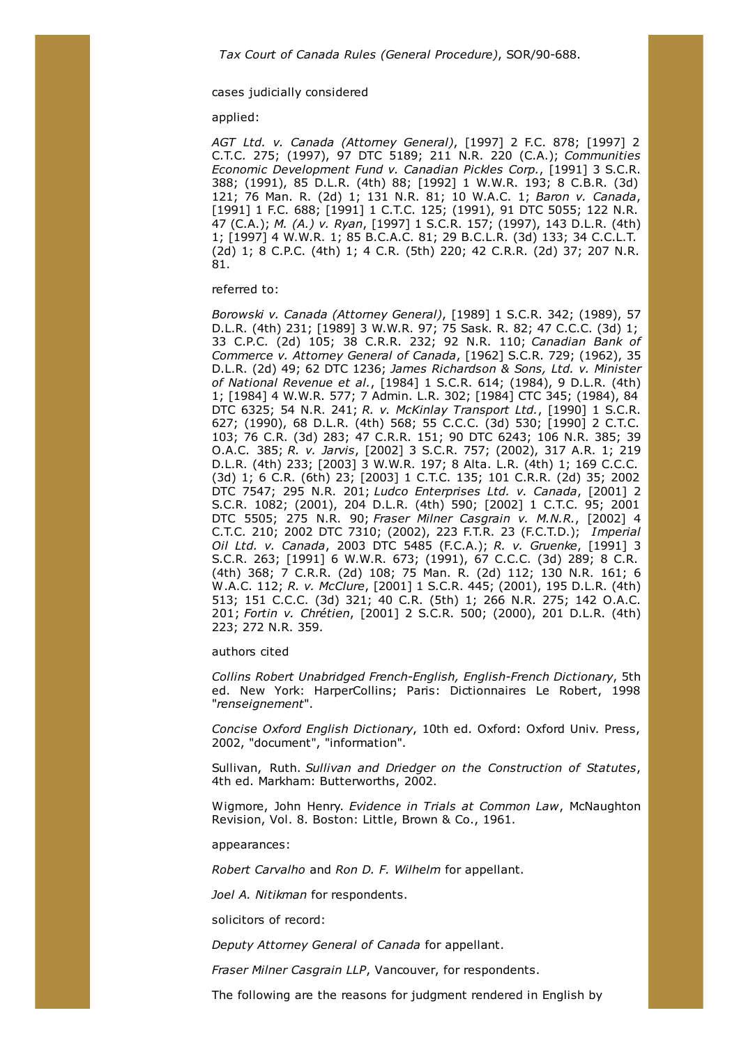# cases judicially considered

applied:

*AGT Ltd. v. Canada (Attorney General)*, [1997] 2 F.C. 878; [1997] 2 C.T.C. 275; (1997), 97 DTC 5189; 211 N.R. 220 (C.A.); *Communities Economic Development Fund v. Canadian Pickles Corp.*, [1991] 3 S.C.R. 388; (1991), 85 D.L.R. (4th) 88; [1992] 1 W.W.R. 193; 8 C.B.R. (3d) 121; 76 Man. R. (2d) 1; 131 N.R. 81; 10 W.A.C. 1; *Baron v. Canada*, [1991] 1 F.C. 688; [1991] 1 C.T.C. 125; (1991), 91 DTC 5055; 122 N.R. 47 (C.A.); *M. (A.) v. Ryan*, [1997] 1 S.C.R. 157; (1997), 143 D.L.R. (4th) 1; [1997] 4 W.W.R. 1; 85 B.C.A.C. 81; 29 B.C.L.R. (3d) 133; 34 C.C.L.T. (2d) 1; 8 C.P.C. (4th) 1; 4 C.R. (5th) 220; 42 C.R.R. (2d) 37; 207 N.R. 81.

### referred to:

*Borowski v. Canada (Attorney General)*, [1989] 1 S.C.R. 342; (1989), 57 D.L.R. (4th) 231; [1989] 3 W.W.R. 97; 75 Sask. R. 82; 47 C.C.C. (3d) 1; 33 C.P.C. (2d) 105; 38 C.R.R. 232; 92 N.R. 110; *Canadian Bank of Commerce v. Attorney General of Canada*, [1962] S.C.R. 729; (1962), 35 D.L.R. (2d) 49; 62 DTC 1236; *James Richardson & Sons, Ltd. v. Minister of National Revenue et al.*, [1984] 1 S.C.R. 614; (1984), 9 D.L.R. (4th) 1; [1984] 4 W.W.R. 577; 7 Admin. L.R. 302; [1984] CTC 345; (1984), 84 DTC 6325; 54 N.R. 241; *R. v. McKinlay Transport Ltd.*, [1990] 1 S.C.R. 627; (1990), 68 D.L.R. (4th) 568; 55 C.C.C. (3d) 530; [1990] 2 C.T.C. 103; 76 C.R. (3d) 283; 47 C.R.R. 151; 90 DTC 6243; 106 N.R. 385; 39 O.A.C. 385; *R. v. Jarvis*, [2002] 3 S.C.R. 757; (2002), 317 A.R. 1; 219 D.L.R. (4th) 233; [2003] 3 W.W.R. 197; 8 Alta. L.R. (4th) 1; 169 C.C.C. (3d) 1; 6 C.R. (6th) 23; [2003] 1 C.T.C. 135; 101 C.R.R. (2d) 35; 2002 DTC 7547; 295 N.R. 201; *Ludco Enterprises Ltd. v. Canada*, [2001] 2 S.C.R. 1082; (2001), 204 D.L.R. (4th) 590; [2002] 1 C.T.C. 95; 2001 DTC 5505; 275 N.R. 90; *Fraser Milner Casgrain v. M.N.R.*, [2002] 4 C.T.C. 210; 2002 DTC 7310; (2002), 223 F.T.R. 23 (F.C.T.D.); *Imperial Oil Ltd. v. Canada*, 2003 DTC 5485 (F.C.A.); *R. v. Gruenke*, [1991] 3 S.C.R. 263; [1991] 6 W.W.R. 673; (1991), 67 C.C.C. (3d) 289; 8 C.R. (4th) 368; 7 C.R.R. (2d) 108; 75 Man. R. (2d) 112; 130 N.R. 161; 6 W.A.C. 112; *R. v. McClure*, [2001] 1 S.C.R. 445; (2001), 195 D.L.R. (4th) 513; 151 C.C.C. (3d) 321; 40 C.R. (5th) 1; 266 N.R. 275; 142 O.A.C. 201; *Fortin v. Chrétien*, [2001] 2 S.C.R. 500; (2000), 201 D.L.R. (4th) 223; 272 N.R. 359.

### authors cited

*Collins Robert Unabridged French-English, English-French Dictionary*, 5th ed. New York: HarperCollins; Paris: Dictionnaires Le Robert, 1998 "*renseignement*".

*Concise Oxford English Dictionary*, 10th ed. Oxford: Oxford Univ. Press, 2002, "document", "information".

Sullivan, Ruth. *Sullivan and Driedger on the Construction of Statutes*, 4th ed. Markham: Butterworths, 2002.

Wigmore, John Henry. *Evidence in Trials at Common Law*, McNaughton Revision, Vol. 8. Boston: Little, Brown & Co., 1961.

appearances:

*Robert Carvalho* and *Ron D. F. Wilhelm* for appellant.

*Joel A. Nitikman* for respondents.

solicitors of record:

*Deputy Attorney General of Canada* for appellant.

*Fraser Milner Casgrain LLP*, Vancouver, for respondents.

The following are the reasons for judgment rendered in English by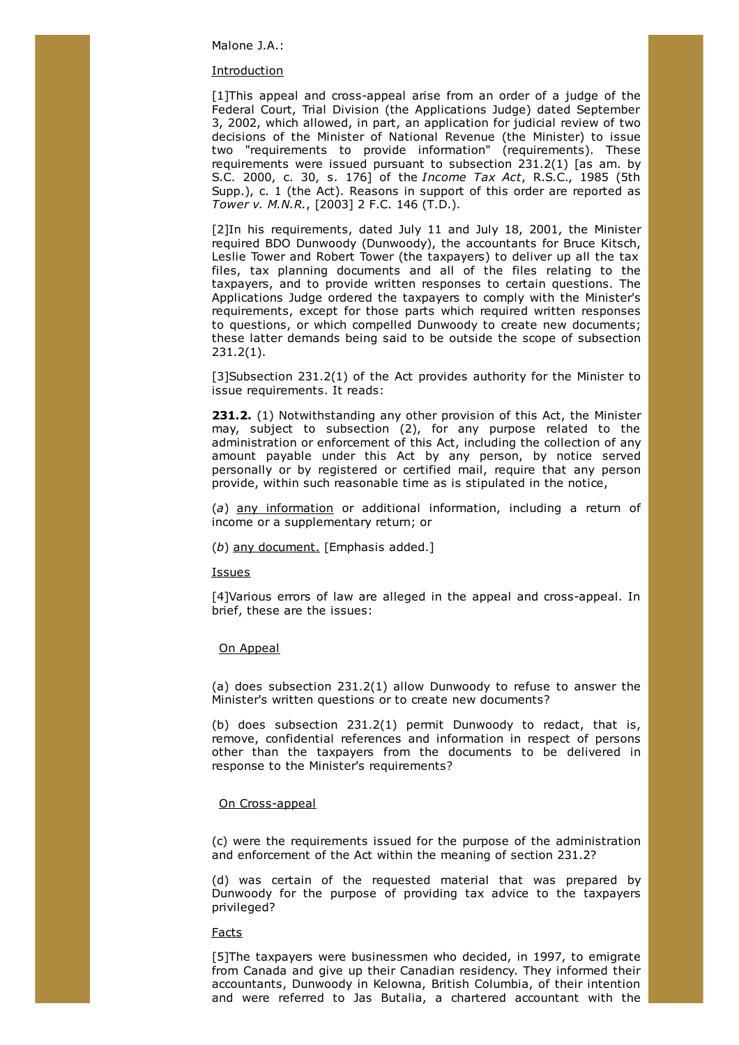Malone J.A.:

#### **Introduction**

[1]This appeal and cross-appeal arise from an order of a judge of the Federal Court, Trial Division (the Applications Judge) dated September 3, 2002, which allowed, in part, an application for judicial review of two decisions of the Minister of National Revenue (the Minister) to issue two "requirements to provide information" (requirements). These requirements were issued pursuant to subsection 231.2(1) [as am. by S.C. 2000, c. 30, s. 176] of the *Income Tax Act*, R.S.C., 1985 (5th Supp.), c. 1 (the Act). Reasons in support of this order are reported as *Tower v. M.N.R.*, [2003] 2 F.C. 146 (T.D.).

[2]In his requirements, dated July 11 and July 18, 2001, the Minister required BDO Dunwoody (Dunwoody), the accountants for Bruce Kitsch, Leslie Tower and Robert Tower (the taxpayers) to deliver up all the tax files, tax planning documents and all of the files relating to the taxpayers, and to provide written responses to certain questions. The Applications Judge ordered the taxpayers to comply with the Minister's requirements, except for those parts which required written responses to questions, or which compelled Dunwoody to create new documents; these latter demands being said to be outside the scope of subsection 231.2(1).

[3]Subsection 231.2(1) of the Act provides authority for the Minister to issue requirements. It reads:

**231.2.** (1) Notwithstanding any other provision of this Act, the Minister may, subject to subsection (2), for any purpose related to the administration or enforcement of this Act, including the collection of any amount payable under this Act by any person, by notice served personally or by registered or certified mail, require that any person provide, within such reasonable time as is stipulated in the notice,

(*a*) any information or additional information, including a return of income or a supplementary return; or

(*b*) any document. [Emphasis added.]

Issues

[4]Various errors of law are alleged in the appeal and cross-appeal. In brief, these are the issues:

## On Appeal

(a) does subsection 231.2(1) allow Dunwoody to refuse to answer the Minister's written questions or to create new documents?

(b) does subsection 231.2(1) permit Dunwoody to redact, that is, remove, confidential references and information in respect of persons other than the taxpayers from the documents to be delivered in response to the Minister's requirements?

# On Cross-appeal

(c) were the requirements issued for the purpose of the administration and enforcement of the Act within the meaning of section 231.2?

(d) was certain of the requested material that was prepared by Dunwoody for the purpose of providing tax advice to the taxpayers privileged?

Facts

[5]The taxpayers were businessmen who decided, in 1997, to emigrate from Canada and give up their Canadian residency. They informed their accountants, Dunwoody in Kelowna, British Columbia, of their intention and were referred to Jas Butalia, a chartered accountant with the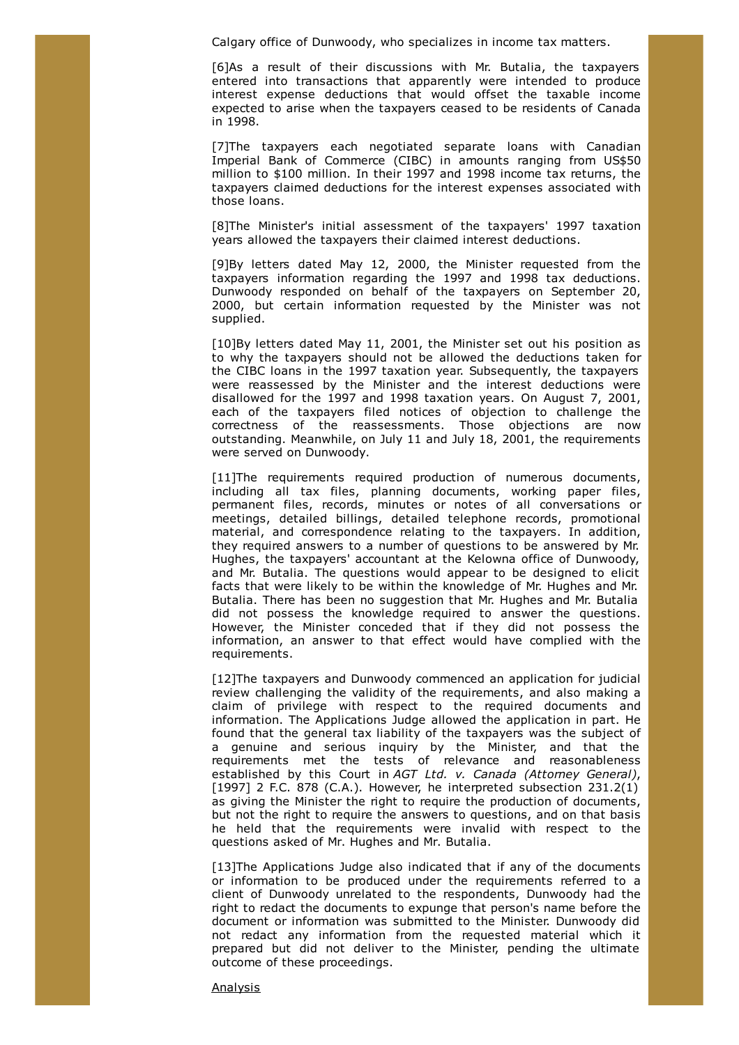Calgary office of Dunwoody, who specializes in income tax matters.

[6]As a result of their discussions with Mr. Butalia, the taxpayers entered into transactions that apparently were intended to produce interest expense deductions that would offset the taxable income expected to arise when the taxpayers ceased to be residents of Canada in 1998.

[7]The taxpayers each negotiated separate loans with Canadian Imperial Bank of Commerce (CIBC) in amounts ranging from US\$50 million to \$100 million. In their 1997 and 1998 income tax returns, the taxpayers claimed deductions for the interest expenses associated with those loans.

[8]The Minister's initial assessment of the taxpayers' 1997 taxation years allowed the taxpayers their claimed interest deductions.

[9]By letters dated May 12, 2000, the Minister requested from the taxpayers information regarding the 1997 and 1998 tax deductions. Dunwoody responded on behalf of the taxpayers on September 20, 2000, but certain information requested by the Minister was not supplied.

[10]By letters dated May 11, 2001, the Minister set out his position as to why the taxpayers should not be allowed the deductions taken for the CIBC loans in the 1997 taxation year. Subsequently, the taxpayers were reassessed by the Minister and the interest deductions were disallowed for the 1997 and 1998 taxation years. On August 7, 2001, each of the taxpayers filed notices of objection to challenge the correctness of the reassessments. Those objections are now outstanding. Meanwhile, on July 11 and July 18, 2001, the requirements were served on Dunwoody.

[11]The requirements required production of numerous documents, including all tax files, planning documents, working paper files, permanent files, records, minutes or notes of all conversations or meetings, detailed billings, detailed telephone records, promotional material, and correspondence relating to the taxpayers. In addition, they required answers to a number of questions to be answered by Mr. Hughes, the taxpayers' accountant at the Kelowna office of Dunwoody, and Mr. Butalia. The questions would appear to be designed to elicit facts that were likely to be within the knowledge of Mr. Hughes and Mr. Butalia. There has been no suggestion that Mr. Hughes and Mr. Butalia did not possess the knowledge required to answer the questions. However, the Minister conceded that if they did not possess the information, an answer to that effect would have complied with the requirements.

[12]The taxpayers and Dunwoody commenced an application for judicial review challenging the validity of the requirements, and also making a claim of privilege with respect to the required documents and information. The Applications Judge allowed the application in part. He found that the general tax liability of the taxpayers was the subject of a genuine and serious inquiry by the Minister, and that the requirements met the tests of relevance and reasonableness established by this Court in *AGT Ltd. v. Canada (Attorney General)*, [1997] 2 F.C. 878 (C.A.). However, he interpreted subsection 231.2(1) as giving the Minister the right to require the production of documents, but not the right to require the answers to questions, and on that basis he held that the requirements were invalid with respect to the questions asked of Mr. Hughes and Mr. Butalia.

[13]The Applications Judge also indicated that if any of the documents or information to be produced under the requirements referred to a client of Dunwoody unrelated to the respondents, Dunwoody had the right to redact the documents to expunge that person's name before the document or information was submitted to the Minister. Dunwoody did not redact any information from the requested material which it prepared but did not deliver to the Minister, pending the ultimate outcome of these proceedings.

Analysis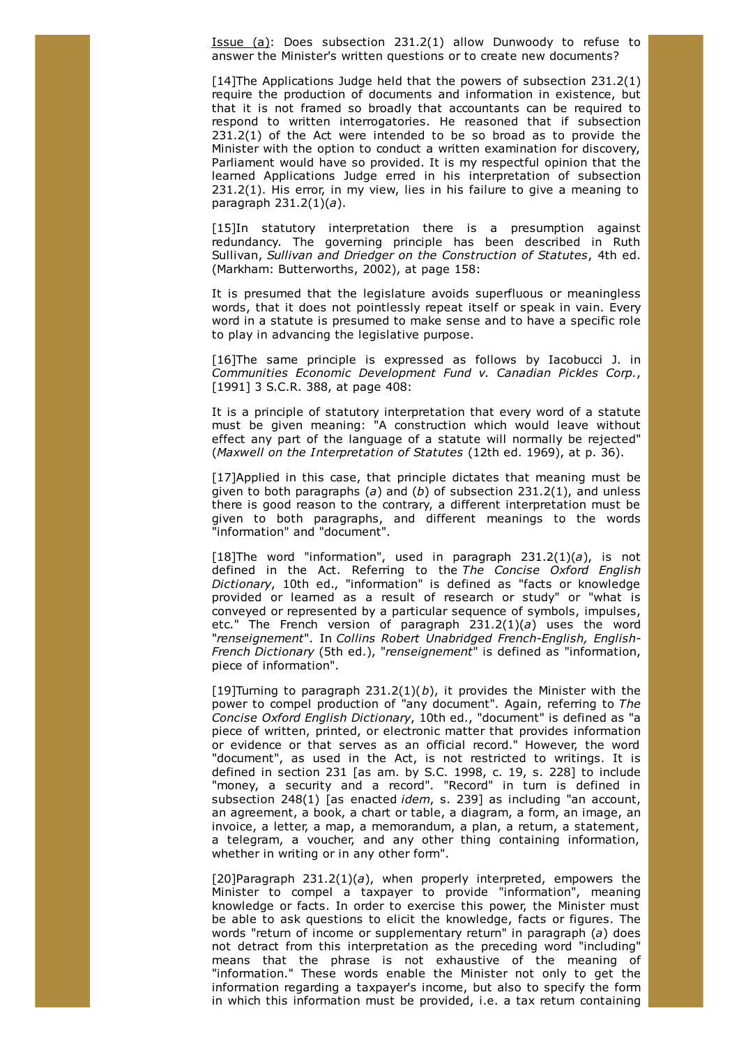Issue (a): Does subsection 231.2(1) allow Dunwoody to refuse to answer the Minister's written questions or to create new documents?

[14]The Applications Judge held that the powers of subsection 231.2(1) require the production of documents and information in existence, but that it is not framed so broadly that accountants can be required to respond to written interrogatories. He reasoned that if subsection  $231.2(1)$  of the Act were intended to be so broad as to provide the Minister with the option to conduct a written examination for discovery, Parliament would have so provided. It is my respectful opinion that the learned Applications Judge erred in his interpretation of subsection 231.2(1). His error, in my view, lies in his failure to give a meaning to paragraph 231.2(1)(*a*).

[15]In statutory interpretation there is a presumption against redundancy. The governing principle has been described in Ruth Sullivan, *Sullivan and Driedger on the Construction of Statutes*, 4th ed. (Markham: Butterworths, 2002), at page 158:

It is presumed that the legislature avoids superfluous or meaningless words, that it does not pointlessly repeat itself or speak in vain. Every word in a statute is presumed to make sense and to have a specific role to play in advancing the legislative purpose.

[16]The same principle is expressed as follows by Iacobucci J. in *Communities Economic Development Fund v. Canadian Pickles Corp.*, [1991] 3 S.C.R. 388, at page 408:

It is a principle of statutory interpretation that every word of a statute must be given meaning: "A construction which would leave without effect any part of the language of a statute will normally be rejected" (*Maxwell on the Interpretation of Statutes* (12th ed. 1969), at p. 36).

[17]Applied in this case, that principle dictates that meaning must be given to both paragraphs (*a*) and (*b*) of subsection 231.2(1), and unless there is good reason to the contrary, a different interpretation must be given to both paragraphs, and different meanings to the words "information" and "document".

[18]The word "information", used in paragraph 231.2(1)(*a*), is not defined in the Act. Referring to the *The Concise Oxford English Dictionary*, 10th ed., "information" is defined as "facts or knowledge provided or learned as a result of research or study" or "what is conveyed or represented by a particular sequence of symbols, impulses, etc." The French version of paragraph 231.2(1)(*a*) uses the word "*renseignement*". In *Collins Robert Unabridged French-English, English-French Dictionary* (5th ed.), "*renseignement*" is defined as "information, piece of information".

[19]Turning to paragraph 231.2(1)(*b*), it provides the Minister with the power to compel production of "any document". Again, referring to *The Concise Oxford English Dictionary*, 10th ed., "document" is defined as "a piece of written, printed, or electronic matter that provides information or evidence or that serves as an official record." However, the word "document", as used in the Act, is not restricted to writings. It is defined in section 231 [as am. by S.C. 1998, c. 19, s. 228] to include "money, a security and a record". "Record" in turn is defined in subsection 248(1) [as enacted *idem*, s. 239] as including "an account, an agreement, a book, a chart or table, a diagram, a form, an image, an invoice, a letter, a map, a memorandum, a plan, a return, a statement, a telegram, a voucher, and any other thing containing information, whether in writing or in any other form".

[20]Paragraph 231.2(1)(*a*), when properly interpreted, empowers the Minister to compel a taxpayer to provide "information", meaning knowledge or facts. In order to exercise this power, the Minister must be able to ask questions to elicit the knowledge, facts or figures. The words "return of income or supplementary return" in paragraph (*a*) does not detract from this interpretation as the preceding word "including" means that the phrase is not exhaustive of the meaning of "information." These words enable the Minister not only to get the information regarding a taxpayer's income, but also to specify the form in which this information must be provided, i.e. a tax return containing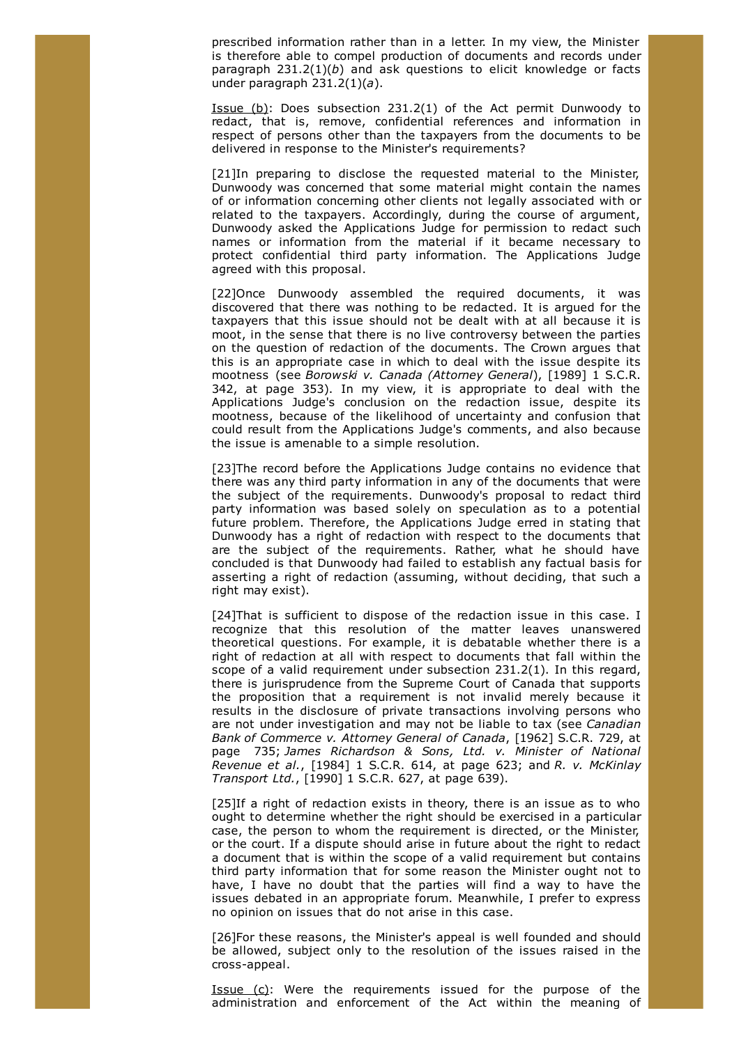prescribed information rather than in a letter. In my view, the Minister is therefore able to compel production of documents and records under paragraph 231.2(1)(*b*) and ask questions to elicit knowledge or facts under paragraph 231.2(1)(*a*).

Issue  $(b)$ : Does subsection 231.2(1) of the Act permit Dunwoody to redact, that is, remove, confidential references and information in respect of persons other than the taxpayers from the documents to be delivered in response to the Minister's requirements?

[21]In preparing to disclose the requested material to the Minister, Dunwoody was concerned that some material might contain the names of or information concerning other clients not legally associated with or related to the taxpayers. Accordingly, during the course of argument, Dunwoody asked the Applications Judge for permission to redact such names or information from the material if it became necessary to protect confidential third party information. The Applications Judge agreed with this proposal.

[22]Once Dunwoody assembled the required documents, it was discovered that there was nothing to be redacted. It is argued for the taxpayers that this issue should not be dealt with at all because it is moot, in the sense that there is no live controversy between the parties on the question of redaction of the documents. The Crown argues that this is an appropriate case in which to deal with the issue despite its mootness (see *Borowski v. Canada (Attorney General*), [1989] 1 S.C.R. 342, at page 353). In my view, it is appropriate to deal with the Applications Judge's conclusion on the redaction issue, despite its mootness, because of the likelihood of uncertainty and confusion that could result from the Applications Judge's comments, and also because the issue is amenable to a simple resolution.

[23]The record before the Applications Judge contains no evidence that there was any third party information in any of the documents that were the subject of the requirements. Dunwoody's proposal to redact third party information was based solely on speculation as to a potential future problem. Therefore, the Applications Judge erred in stating that Dunwoody has a right of redaction with respect to the documents that are the subject of the requirements. Rather, what he should have concluded is that Dunwoody had failed to establish any factual basis for asserting a right of redaction (assuming, without deciding, that such a right may exist).

[24]That is sufficient to dispose of the redaction issue in this case. I recognize that this resolution of the matter leaves unanswered theoretical questions. For example, it is debatable whether there is a right of redaction at all with respect to documents that fall within the scope of a valid requirement under subsection 231.2(1). In this regard, there is jurisprudence from the Supreme Court of Canada that supports the proposition that a requirement is not invalid merely because it results in the disclosure of private transactions involving persons who are not under investigation and may not be liable to tax (see *Canadian Bank of Commerce v. Attorney General of Canada*, [1962] S.C.R. 729, at page 735; *James Richardson & Sons, Ltd. v. Minister of National Revenue et al.*, [1984] 1 S.C.R. 614, at page 623; and *R. v. McKinlay Transport Ltd.*, [1990] 1 S.C.R. 627, at page 639).

[25]If a right of redaction exists in theory, there is an issue as to who ought to determine whether the right should be exercised in a particular case, the person to whom the requirement is directed, or the Minister, or the court. If a dispute should arise in future about the right to redact a document that is within the scope of a valid requirement but contains third party information that for some reason the Minister ought not to have, I have no doubt that the parties will find a way to have the issues debated in an appropriate forum. Meanwhile, I prefer to express no opinion on issues that do not arise in this case.

[26]For these reasons, the Minister's appeal is well founded and should be allowed, subject only to the resolution of the issues raised in the cross-appeal.

Issue (c): Were the requirements issued for the purpose of the administration and enforcement of the Act within the meaning of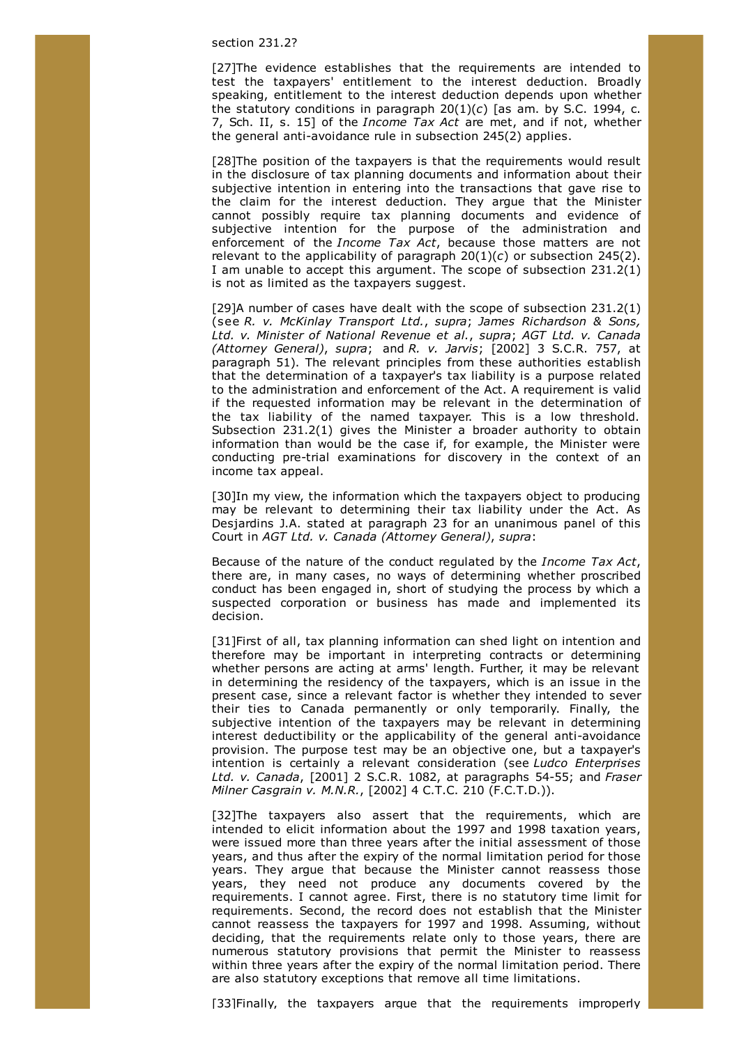#### section 231.2?

[27]The evidence establishes that the requirements are intended to test the taxpayers' entitlement to the interest deduction. Broadly speaking, entitlement to the interest deduction depends upon whether the statutory conditions in paragraph 20(1)(*c*) [as am. by S.C. 1994, c. 7, Sch. II, s. 15] of the *Income Tax Act* are met, and if not, whether the general anti-avoidance rule in subsection 245(2) applies.

[28]The position of the taxpayers is that the requirements would result in the disclosure of tax planning documents and information about their subjective intention in entering into the transactions that gave rise to the claim for the interest deduction. They argue that the Minister cannot possibly require tax planning documents and evidence of subjective intention for the purpose of the administration and enforcement of the *Income Tax Act*, because those matters are not relevant to the applicability of paragraph 20(1)(*c*) or subsection 245(2). I am unable to accept this argument. The scope of subsection 231.2(1) is not as limited as the taxpayers suggest.

[29]A number of cases have dealt with the scope of subsection 231.2(1) (see *R. v. McKinlay Transport Ltd.*, *supra*; *James Richardson & Sons, Ltd. v. Minister of National Revenue et al.*, *supra*; *AGT Ltd. v. Canada (Attorney General)*, *supra*; and *R. v. Jarvis*; [2002] 3 S.C.R. 757, at paragraph 51). The relevant principles from these authorities establish that the determination of a taxpayer's tax liability is a purpose related to the administration and enforcement of the Act. A requirement is valid if the requested information may be relevant in the determination of the tax liability of the named taxpayer. This is a low threshold. Subsection 231.2(1) gives the Minister a broader authority to obtain information than would be the case if, for example, the Minister were conducting pre-trial examinations for discovery in the context of an income tax appeal.

[30]In my view, the information which the taxpayers object to producing may be relevant to determining their tax liability under the Act. As Desjardins J.A. stated at paragraph 23 for an unanimous panel of this Court in *AGT Ltd. v. Canada (Attorney General)*, *supra*:

Because of the nature of the conduct regulated by the *Income Tax Act*, there are, in many cases, no ways of determining whether proscribed conduct has been engaged in, short of studying the process by which a suspected corporation or business has made and implemented its decision.

[31]First of all, tax planning information can shed light on intention and therefore may be important in interpreting contracts or determining whether persons are acting at arms' length. Further, it may be relevant in determining the residency of the taxpayers, which is an issue in the present case, since a relevant factor is whether they intended to sever their ties to Canada permanently or only temporarily. Finally, the subjective intention of the taxpayers may be relevant in determining interest deductibility or the applicability of the general anti-avoidance provision. The purpose test may be an objective one, but a taxpayer's intention is certainly a relevant consideration (see *Ludco Enterprises Ltd. v. Canada*, [2001] 2 S.C.R. 1082, at paragraphs 54-55; and *Fraser Milner Casgrain v. M.N.R.*, [2002] 4 C.T.C. 210 (F.C.T.D.)).

[32]The taxpayers also assert that the requirements, which are intended to elicit information about the 1997 and 1998 taxation years, were issued more than three years after the initial assessment of those years, and thus after the expiry of the normal limitation period for those years. They argue that because the Minister cannot reassess those years, they need not produce any documents covered by the requirements. I cannot agree. First, there is no statutory time limit for requirements. Second, the record does not establish that the Minister cannot reassess the taxpayers for 1997 and 1998. Assuming, without deciding, that the requirements relate only to those years, there are numerous statutory provisions that permit the Minister to reassess within three years after the expiry of the normal limitation period. There are also statutory exceptions that remove all time limitations.

[33]Finally, the taxpayers argue that the requirements improperly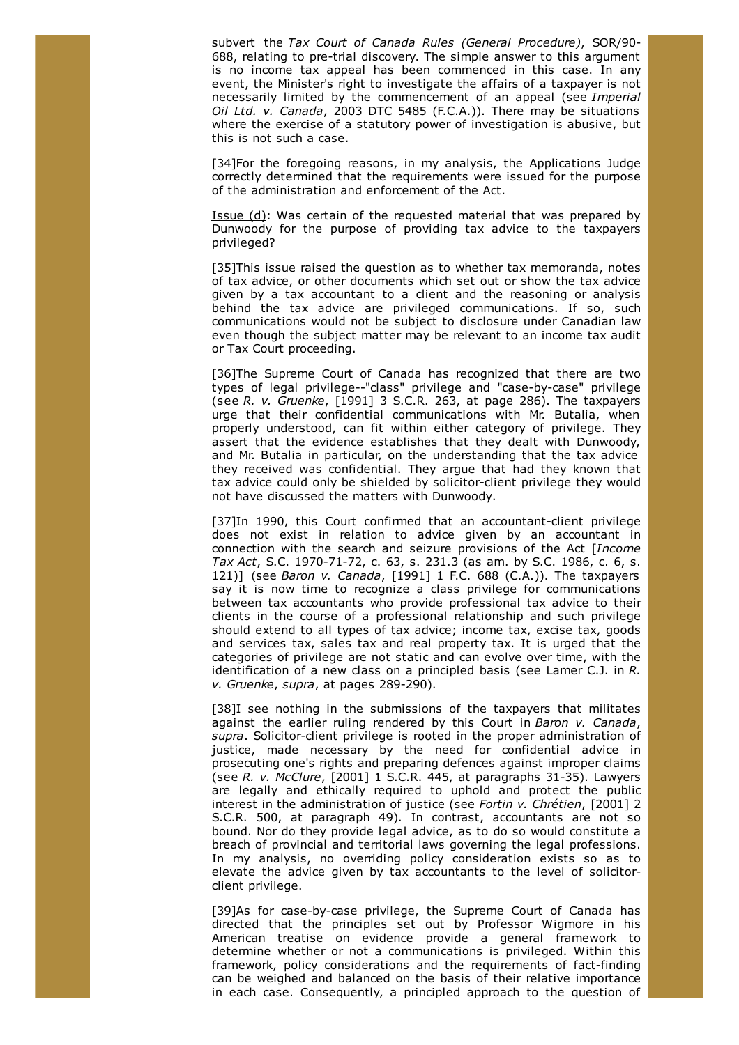subvert the *Tax Court of Canada Rules (General Procedure)*, SOR/90- 688, relating to pre-trial discovery. The simple answer to this argument is no income tax appeal has been commenced in this case. In any event, the Minister's right to investigate the affairs of a taxpayer is not necessarily limited by the commencement of an appeal (see *Imperial Oil Ltd. v. Canada*, 2003 DTC 5485 (F.C.A.)). There may be situations where the exercise of a statutory power of investigation is abusive, but this is not such a case.

[34]For the foregoing reasons, in my analysis, the Applications Judge correctly determined that the requirements were issued for the purpose of the administration and enforcement of the Act.

Issue (d): Was certain of the requested material that was prepared by Dunwoody for the purpose of providing tax advice to the taxpayers privileged?

[35]This issue raised the question as to whether tax memoranda, notes of tax advice, or other documents which set out or show the tax advice given by a tax accountant to a client and the reasoning or analysis behind the tax advice are privileged communications. If so, such communications would not be subject to disclosure under Canadian law even though the subject matter may be relevant to an income tax audit or Tax Court proceeding.

[36]The Supreme Court of Canada has recognized that there are two types of legal privilege--"class" privilege and "case-by-case" privilege (see *R. v. Gruenke*, [1991] 3 S.C.R. 263, at page 286). The taxpayers urge that their confidential communications with Mr. Butalia, when properly understood, can fit within either category of privilege. They assert that the evidence establishes that they dealt with Dunwoody, and Mr. Butalia in particular, on the understanding that the tax advice they received was confidential. They argue that had they known that tax advice could only be shielded by solicitor-client privilege they would not have discussed the matters with Dunwoody.

[37]In 1990, this Court confirmed that an accountant-client privilege does not exist in relation to advice given by an accountant in connection with the search and seizure provisions of the Act [*Income Tax Act*, S.C. 1970-71-72, c. 63, s. 231.3 (as am. by S.C. 1986, c. 6, s. 121)] (see *Baron v. Canada*, [1991] 1 F.C. 688 (C.A.)). The taxpayers say it is now time to recognize a class privilege for communications between tax accountants who provide professional tax advice to their clients in the course of a professional relationship and such privilege should extend to all types of tax advice; income tax, excise tax, goods and services tax, sales tax and real property tax. It is urged that the categories of privilege are not static and can evolve over time, with the identification of a new class on a principled basis (see Lamer C.J. in *R. v. Gruenke*, *supra*, at pages 289-290).

[38]I see nothing in the submissions of the taxpayers that militates against the earlier ruling rendered by this Court in *Baron v. Canada*, *supra*. Solicitor-client privilege is rooted in the proper administration of justice, made necessary by the need for confidential advice in prosecuting one's rights and preparing defences against improper claims (see *R. v. McClure*, [2001] 1 S.C.R. 445, at paragraphs 31-35). Lawyers are legally and ethically required to uphold and protect the public interest in the administration of justice (see *Fortin v. Chrétien*, [2001] 2 S.C.R. 500, at paragraph 49). In contrast, accountants are not so bound. Nor do they provide legal advice, as to do so would constitute a breach of provincial and territorial laws governing the legal professions. In my analysis, no overriding policy consideration exists so as to elevate the advice given by tax accountants to the level of solicitorclient privilege.

[39]As for case-by-case privilege, the Supreme Court of Canada has directed that the principles set out by Professor Wigmore in his American treatise on evidence provide a general framework to determine whether or not a communications is privileged. Within this framework, policy considerations and the requirements of fact-finding can be weighed and balanced on the basis of their relative importance in each case. Consequently, a principled approach to the question of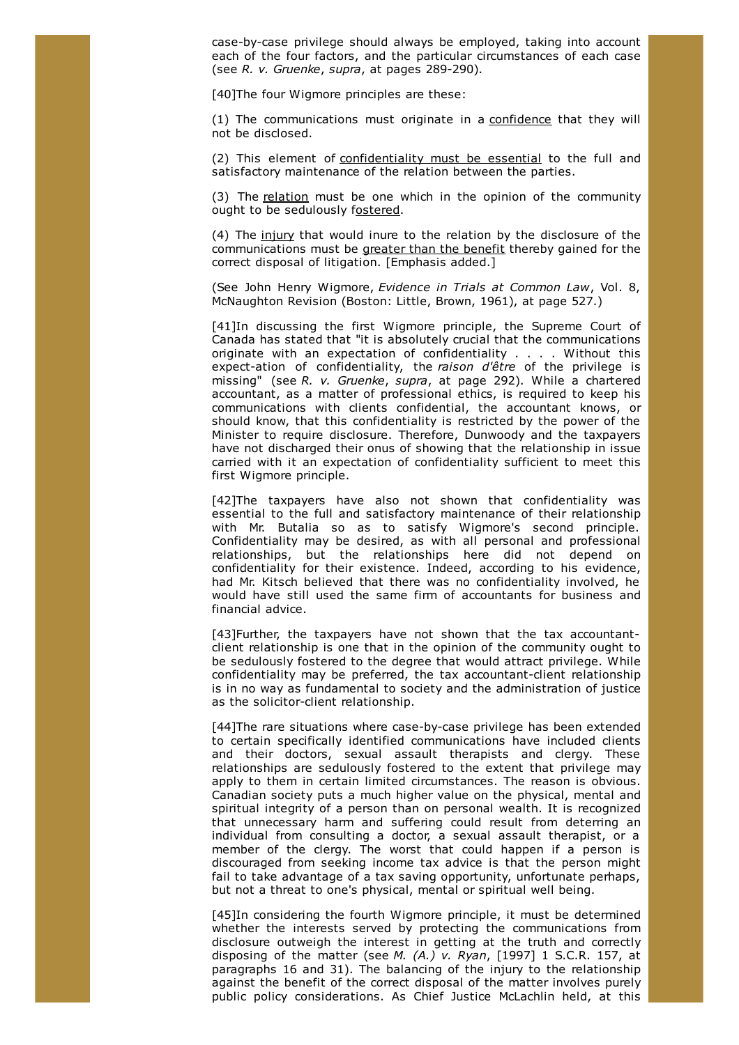case-by-case privilege should always be employed, taking into account each of the four factors, and the particular circumstances of each case (see *R. v. Gruenke*, *supra*, at pages 289-290).

[40] The four Wigmore principles are these:

(1) The communications must originate in a confidence that they will not be disclosed.

(2) This element of confidentiality must be essential to the full and satisfactory maintenance of the relation between the parties.

(3) The relation must be one which in the opinion of the community ought to be sedulously fostered.

(4) The injury that would inure to the relation by the disclosure of the communications must be greater than the benefit thereby gained for the correct disposal of litigation. [Emphasis added.]

(See John Henry Wigmore, *Evidence in Trials at Common Law*, Vol. 8, McNaughton Revision (Boston: Little, Brown, 1961), at page 527.)

[41]In discussing the first Wigmore principle, the Supreme Court of Canada has stated that "it is absolutely crucial that the communications originate with an expectation of confidentiality . . . . Without this expect-ation of confidentiality, the *raison d'être* of the privilege is missing" (see *R. v. Gruenke*, *supra*, at page 292). While a chartered accountant, as a matter of professional ethics, is required to keep his communications with clients confidential, the accountant knows, or should know, that this confidentiality is restricted by the power of the Minister to require disclosure. Therefore, Dunwoody and the taxpayers have not discharged their onus of showing that the relationship in issue carried with it an expectation of confidentiality sufficient to meet this first Wigmore principle.

[42]The taxpayers have also not shown that confidentiality was essential to the full and satisfactory maintenance of their relationship with Mr. Butalia so as to satisfy Wigmore's second principle. Confidentiality may be desired, as with all personal and professional relationships, but the relationships here did not depend on confidentiality for their existence. Indeed, according to his evidence, had Mr. Kitsch believed that there was no confidentiality involved, he would have still used the same firm of accountants for business and financial advice.

[43]Further, the taxpayers have not shown that the tax accountantclient relationship is one that in the opinion of the community ought to be sedulously fostered to the degree that would attract privilege. While confidentiality may be preferred, the tax accountant-client relationship is in no way as fundamental to society and the administration of justice as the solicitor-client relationship.

[44]The rare situations where case-by-case privilege has been extended to certain specifically identified communications have included clients and their doctors, sexual assault therapists and clergy. These relationships are sedulously fostered to the extent that privilege may apply to them in certain limited circumstances. The reason is obvious. Canadian society puts a much higher value on the physical, mental and spiritual integrity of a person than on personal wealth. It is recognized that unnecessary harm and suffering could result from deterring an individual from consulting a doctor, a sexual assault therapist, or a member of the clergy. The worst that could happen if a person is discouraged from seeking income tax advice is that the person might fail to take advantage of a tax saving opportunity, unfortunate perhaps, but not a threat to one's physical, mental or spiritual well being.

[45]In considering the fourth Wigmore principle, it must be determined whether the interests served by protecting the communications from disclosure outweigh the interest in getting at the truth and correctly disposing of the matter (see *M. (A.) v. Ryan*, [1997] 1 S.C.R. 157, at paragraphs 16 and 31). The balancing of the injury to the relationship against the benefit of the correct disposal of the matter involves purely public policy considerations. As Chief Justice McLachlin held, at this